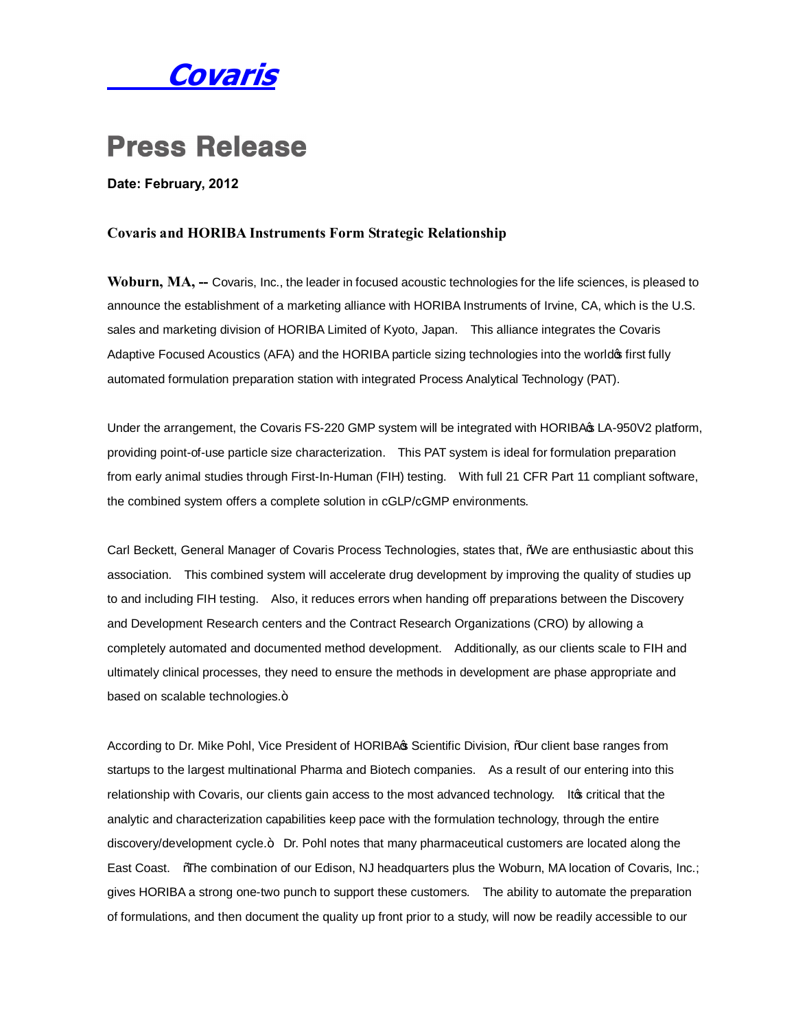

## **Press Release**

**Date: February, 2012**

## **Covaris and HORIBA Instruments Form Strategic Relationship**

**Woburn, MA, --** Covaris, Inc., the leader in focused acoustic technologies for the life sciences, is pleased to announce the establishment of a marketing alliance with HORIBA Instruments of Irvine, CA, which is the U.S. sales and marketing division of HORIBA Limited of Kyoto, Japan. This alliance integrates the Covaris Adaptive Focused Acoustics (AFA) and the HORIBA particle sizing technologies into the worldo first fully automated formulation preparation station with integrated Process Analytical Technology (PAT).

Under the arrangement, the Covaris FS-220 GMP system will be integrated with HORIBA& LA-950V2 platform, providing point-of-use particle size characterization. This PAT system is ideal for formulation preparation from early animal studies through First-In-Human (FIH) testing. With full 21 CFR Part 11 compliant software, the combined system offers a complete solution in cGLP/cGMP environments.

Carl Beckett, General Manager of Covaris Process Technologies, states that, "We are enthusiastic about this association. This combined system will accelerate drug development by improving the quality of studies up to and including FIH testing. Also, it reduces errors when handing off preparations between the Discovery and Development Research centers and the Contract Research Organizations (CRO) by allowing a completely automated and documented method development. Additionally, as our clients scale to FIH and ultimately clinical processes, they need to ensure the methods in development are phase appropriate and based on scalable technologies.+

According to Dr. Mike Pohl, Vice President of HORIBA & Scientific Division, %Our client base ranges from startups to the largest multinational Pharma and Biotech companies. As a result of our entering into this relationship with Covaris, our clients gain access to the most advanced technology. It to critical that the analytic and characterization capabilities keep pace with the formulation technology, through the entire discovery/development cycle.+ Dr. Pohl notes that many pharmaceutical customers are located along the East Coast. "The combination of our Edison, NJ headquarters plus the Woburn, MA location of Covaris, Inc.; gives HORIBA a strong one-two punch to support these customers. The ability to automate the preparation of formulations, and then document the quality up front prior to a study, will now be readily accessible to our